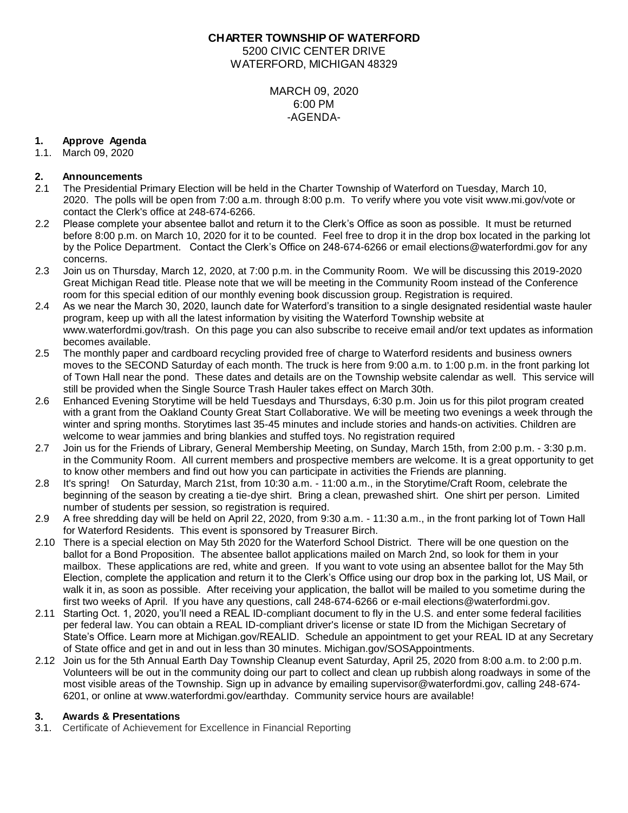## **CHARTER TOWNSHIP OF WATERFORD**

5200 CIVIC CENTER DRIVE WATERFORD, MICHIGAN 48329

> MARCH 09, 2020 6:00 PM -AGENDA-

# **1. Approve Agenda**

1.1. March 09, 2020

# **2. Announcements**

- 2.1 The Presidential Primary Election will be held in the Charter Township of Waterford on Tuesday, March 10, 2020. The polls will be open from 7:00 a.m. through 8:00 p.m. To verify where you vote visit www.mi.gov/vote or contact the Clerk's office at 248-674-6266.
- 2.2 Please complete your absentee ballot and return it to the Clerk's Office as soon as possible. It must be returned before 8:00 p.m. on March 10, 2020 for it to be counted. Feel free to drop it in the drop box located in the parking lot by the Police Department. Contact the Clerk's Office on 248-674-6266 or email elections@waterfordmi.gov for any concerns.
- 2.3 Join us on Thursday, March 12, 2020, at 7:00 p.m. in the Community Room. We will be discussing this 2019-2020 Great Michigan Read title. Please note that we will be meeting in the Community Room instead of the Conference room for this special edition of our monthly evening book discussion group. Registration is required.
- 2.4 As we near the March 30, 2020, launch date for Waterford's transition to a single designated residential waste hauler program, keep up with all the latest information by visiting the Waterford Township website at www.waterfordmi.gov/trash. On this page you can also subscribe to receive email and/or text updates as information becomes available.
- 2.5 The monthly paper and cardboard recycling provided free of charge to Waterford residents and business owners moves to the SECOND Saturday of each month. The truck is here from 9:00 a.m. to 1:00 p.m. in the front parking lot of Town Hall near the pond. These dates and details are on the Township website calendar as well. This service will still be provided when the Single Source Trash Hauler takes effect on March 30th.
- 2.6 Enhanced Evening Storytime will be held Tuesdays and Thursdays, 6:30 p.m. Join us for this pilot program created with a grant from the Oakland County Great Start Collaborative. We will be meeting two evenings a week through the winter and spring months. Storytimes last 35-45 minutes and include stories and hands-on activities. Children are welcome to wear jammies and bring blankies and stuffed toys. No registration required
- 2.7 Join us for the Friends of Library, General Membership Meeting, on Sunday, March 15th, from 2:00 p.m. 3:30 p.m. in the Community Room. All current members and prospective members are welcome. It is a great opportunity to get to know other members and find out how you can participate in activities the Friends are planning.
- 2.8 It's spring! On Saturday, March 21st, from 10:30 a.m. 11:00 a.m., in the Storytime/Craft Room, celebrate the beginning of the season by creating a tie-dye shirt. Bring a clean, prewashed shirt. One shirt per person. Limited number of students per session, so registration is required.
- 2.9 A free shredding day will be held on April 22, 2020, from 9:30 a.m. 11:30 a.m., in the front parking lot of Town Hall for Waterford Residents. This event is sponsored by Treasurer Birch.
- 2.10 There is a special election on May 5th 2020 for the Waterford School District. There will be one question on the ballot for a Bond Proposition. The absentee ballot applications mailed on March 2nd, so look for them in your mailbox. These applications are red, white and green. If you want to vote using an absentee ballot for the May 5th Election, complete the application and return it to the Clerk's Office using our drop box in the parking lot, US Mail, or walk it in, as soon as possible. After receiving your application, the ballot will be mailed to you sometime during the first two weeks of April. If you have any questions, call 248-674-6266 or e-mail [elections@waterfordmi.gov.](mailto:elections@waterfordmi.gov)
- 2.11 Starting Oct. 1, 2020, you'll need a REAL ID-compliant document to fly in the U.S. and enter some federal facilities per federal law. You can obtain a REAL ID-compliant driver's license or state ID from the Michigan Secretary of State's Office. Learn more at Michigan.gov/REALID. Schedule an appointment to get your REAL ID at any Secretary of State office and get in and out in less than 30 minutes. Michigan.gov/SOSAppointments.
- 2.12 Join us for the 5th Annual Earth Day Township Cleanup event Saturday, April 25, 2020 from 8:00 a.m. to 2:00 p.m. Volunteers will be out in the community doing our part to collect and clean up rubbish along roadways in some of the most visible areas of the Township. Sign up in advance by emailing supervisor@waterfordmi.gov, calling 248-674- 6201, or online at [www.waterfordmi.gov/earthday.](http://www.waterfordmi.gov/earthday) Community service hours are available!

# **3. Awards & Presentations**

3.1. Certificate of Achievement for Excellence in Financial Reporting